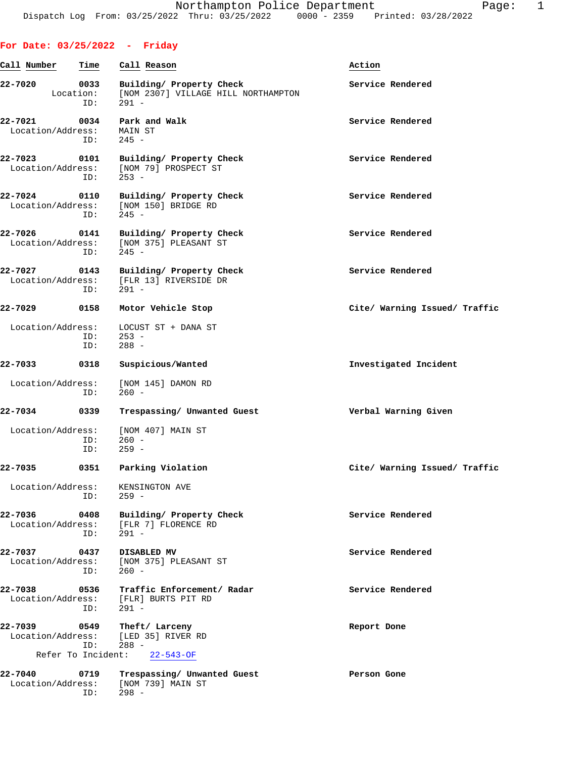| Call Number                  | Time                     | Call Reason                                                              | Action                        |
|------------------------------|--------------------------|--------------------------------------------------------------------------|-------------------------------|
| 22-7020                      | 0033<br>Location:<br>ID: | Building/ Property Check<br>[NOM 2307] VILLAGE HILL NORTHAMPTON<br>291 - | Service Rendered              |
| 22-7021<br>Location/Address: | 0034<br>ID:              | Park and Walk<br>MAIN ST<br>$245 -$                                      | Service Rendered              |
| 22-7023<br>Location/Address: | 0101<br>ID:              | Building/ Property Check<br>[NOM 79] PROSPECT ST<br>$253 -$              | Service Rendered              |
| 22-7024<br>Location/Address: | 0110<br>ID:              | Building/ Property Check<br>[NOM 150] BRIDGE RD<br>$245 -$               | Service Rendered              |
| 22-7026<br>Location/Address: | 0141<br>ID:              | Building/ Property Check<br>[NOM 375] PLEASANT ST<br>245 -               | Service Rendered              |
| 22-7027<br>Location/Address: | 0143<br>ID:              | Building/ Property Check<br>[FLR 13] RIVERSIDE DR<br>$291 -$             | Service Rendered              |
| 22-7029                      | 0158                     | Motor Vehicle Stop                                                       | Cite/ Warning Issued/ Traffic |
| Location/Address:            | ID:<br>ID:               | LOCUST ST + DANA ST<br>$253 -$<br>$288 -$                                |                               |
| 22-7033                      | 0318                     | Suspicious/Wanted                                                        | Investigated Incident         |
| Location/Address:            | ID:                      | [NOM 145] DAMON RD<br>$260 -$                                            |                               |
| 22-7034                      | 0339                     | Trespassing/ Unwanted Guest                                              | Verbal Warning Given          |
| Location/Address:            | ID:<br>ID:               | [NOM 407] MAIN ST<br>$260 -$<br>$259 -$                                  |                               |
| 22-7035                      | 0351                     | Parking Violation                                                        | Cite/ Warning Issued/ Traffic |
|                              | ID:                      | Location/Address: KENSINGTON AVE<br>$259 -$                              |                               |
| 22-7036<br>Location/Address: | 0408<br>ID:              | Building/ Property Check<br>[FLR 7] FLORENCE RD<br>291 -                 | Service Rendered              |
| 22-7037<br>Location/Address: | 0437<br>ID:              | DISABLED MV<br>[NOM 375] PLEASANT ST<br>$260 -$                          | Service Rendered              |
| 22-7038<br>Location/Address: | 0536<br>ID:              | Traffic Enforcement/ Radar<br>[FLR] BURTS PIT RD<br>291 -                | Service Rendered              |
| 22-7039<br>Location/Address: | ID:                      | 0549 Theft/Larceny<br>[LED 35] RIVER RD<br>$288 -$                       | Report Done                   |
|                              |                          | Refer To Incident: 22-543-OF                                             |                               |
| 22-7040<br>Location/Address: | 0719<br>ID:              | Trespassing/ Unwanted Guest<br>[NOM 739] MAIN ST<br>$298 -$              | Person Gone                   |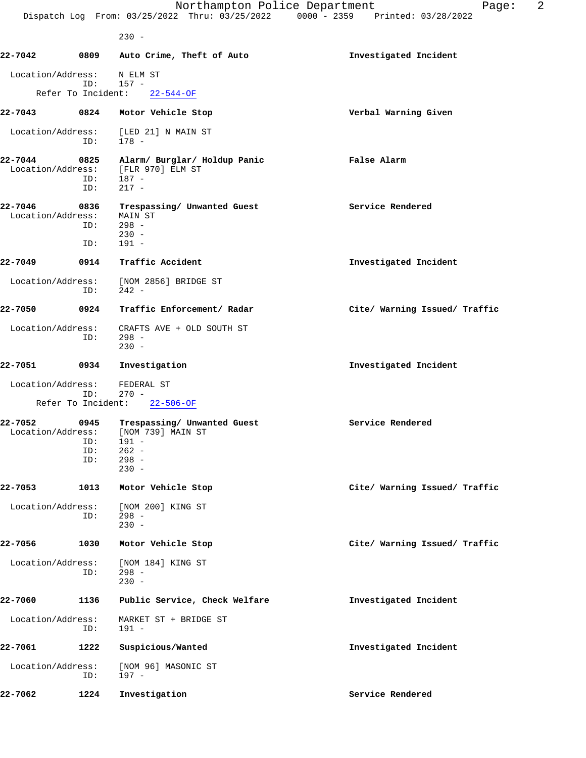230 -

**22-7042 0809 Auto Crime, Theft of Auto Investigated Incident** Location/Address: N ELM ST<br>ID: 157 -ID: Refer To Incident: 22-544-OF **22-7043 0824 Motor Vehicle Stop Verbal Warning Given** Location/Address: [LED 21] N MAIN ST ID: 178 - **22-7044 0825 Alarm/ Burglar/ Holdup Panic False Alarm** Location/Address: [FLR 970] ELM ST ID: 187 -<br>ID: 217 -217 -**22-7046 0836 Trespassing/ Unwanted Guest Service Rendered** Location/Address: MAIN ST ID: 298 -  $230 -$  ID: 191 - **22-7049 0914 Traffic Accident Investigated Incident** Location/Address: [NOM 2856] BRIDGE ST ID: 242 - **22-7050 0924 Traffic Enforcement/ Radar Cite/ Warning Issued/ Traffic** Location/Address: CRAFTS AVE + OLD SOUTH ST ID: 298 -  $230 -$ **22-7051 0934 Investigation Investigated Incident** Location/Address: FEDERAL ST ID: 270 - Refer To Incident: 22-506-OF **22-7052 0945 Trespassing/ Unwanted Guest Service Rendered** Location/Address: [NOM 739] MAIN ST ID: 191 - ID: 262 - ID: 298 - 230 - **22-7053 1013 Motor Vehicle Stop Cite/ Warning Issued/ Traffic** Location/Address: [NOM 200] KING ST<br>ID: 298 - $ID:$  230 - **22-7056 1030 Motor Vehicle Stop Cite/ Warning Issued/ Traffic** Location/Address: [NOM 184] KING ST<br>ID: 298 - $298 -$ <br> $230 230 -$ **22-7060 1136 Public Service, Check Welfare Investigated Incident** Location/Address: MARKET ST + BRIDGE ST ID: 191 - **22-7061 1222 Suspicious/Wanted Investigated Incident** Location/Address: [NOM 96] MASONIC ST ID: 197 - **22-7062 1224 Investigation Service Rendered**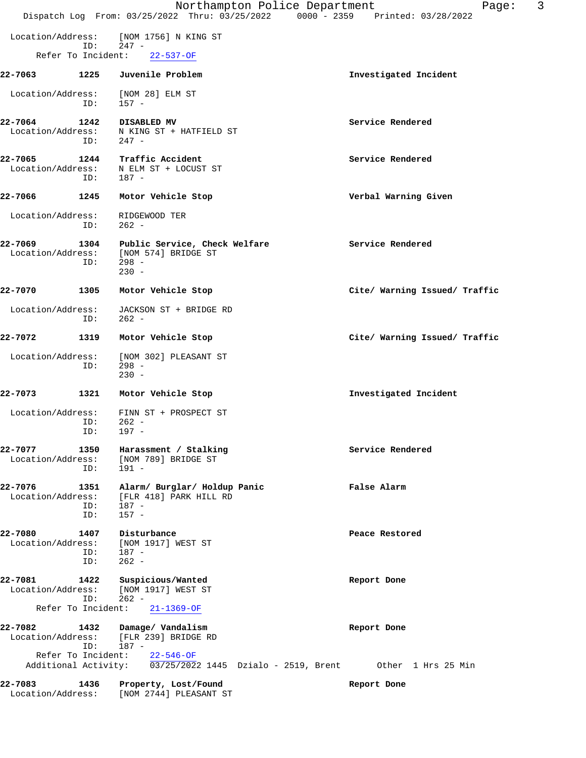|                              |                          | Northampton Police Department<br>Dispatch Log From: 03/25/2022 Thru: 03/25/2022 0000 - 2359 Printed: 03/28/2022                           | 3<br>Page:                    |
|------------------------------|--------------------------|-------------------------------------------------------------------------------------------------------------------------------------------|-------------------------------|
| Location/Address:            |                          | [NOM 1756] N KING ST                                                                                                                      |                               |
| Refer To Incident:           | ID:                      | $247 -$<br>$22 - 537 - OF$                                                                                                                |                               |
| 22-7063                      | 1225                     | Juvenile Problem                                                                                                                          | Investigated Incident         |
| Location/Address:            | ID:                      | [NOM 28] ELM ST<br>157 -                                                                                                                  |                               |
| 22-7064<br>Location/Address: | 1242<br>ID:              | DISABLED MV<br>N KING ST + HATFIELD ST<br>$247 -$                                                                                         | Service Rendered              |
| 22-7065<br>Location/Address: | 1244<br>ID:              | Traffic Accident<br>N ELM ST + LOCUST ST<br>$187 -$                                                                                       | Service Rendered              |
| 22-7066                      | 1245                     | Motor Vehicle Stop                                                                                                                        | Verbal Warning Given          |
| Location/Address:            | ID:                      | RIDGEWOOD TER<br>$262 -$                                                                                                                  |                               |
| 22-7069<br>Location/Address: | 1304<br>ID:              | Public Service, Check Welfare<br>[NOM 574] BRIDGE ST<br>$298 -$<br>$230 -$                                                                | Service Rendered              |
| 22-7070                      | 1305                     | Motor Vehicle Stop                                                                                                                        | Cite/ Warning Issued/ Traffic |
| Location/Address:            | ID:                      | JACKSON ST + BRIDGE RD<br>$262 -$                                                                                                         |                               |
| 22-7072                      | 1319                     | Motor Vehicle Stop                                                                                                                        | Cite/ Warning Issued/ Traffic |
| Location/Address:            | ID:                      | [NOM 302] PLEASANT ST<br>$298 -$<br>$230 -$                                                                                               |                               |
| 22-7073                      | 1321                     | Motor Vehicle Stop                                                                                                                        | Investigated Incident         |
| Location/Address:            | ID:<br>ID:               | FINN ST + PROSPECT ST<br>$262 -$<br>$197 -$                                                                                               |                               |
| 22-7077<br>Location/Address: | 1350<br>ID:              | Harassment / Stalking<br>[NOM 789] BRIDGE ST<br>191 -                                                                                     | Service Rendered              |
| 22-7076<br>Location/Address: | 1351<br>ID:<br>ID:       | Alarm/ Burglar/ Holdup Panic<br>[FLR 418] PARK HILL RD<br>$187 -$<br>$157 -$                                                              | False Alarm                   |
| 22-7080<br>Location/Address: | 1407<br>ID: 187 -<br>ID: | Disturbance<br>[NOM 1917] WEST ST<br>$262 -$                                                                                              | Peace Restored                |
| 22-7081                      | ID:                      | 1422 Suspicious/Wanted<br>Location/Address: [NOM 1917] WEST ST<br>262 -                                                                   | Report Done                   |
| 22-7082                      | ID:                      | Refer To Incident: 21-1369-OF<br>1432 Damage/ Vandalism<br>Location/Address: [FLR 239] BRIDGE RD<br>187 -<br>Refer To Incident: 22-546-OF | Report Done                   |
|                              |                          | Additional Activity: 03/25/2022 1445 Dzialo - 2519, Brent 0ther 1 Hrs 25 Min                                                              |                               |
| 22-7083                      |                          | 1436 Property, Lost/Found<br>Location/Address: [NOM 2744] PLEASANT ST                                                                     | Report Done                   |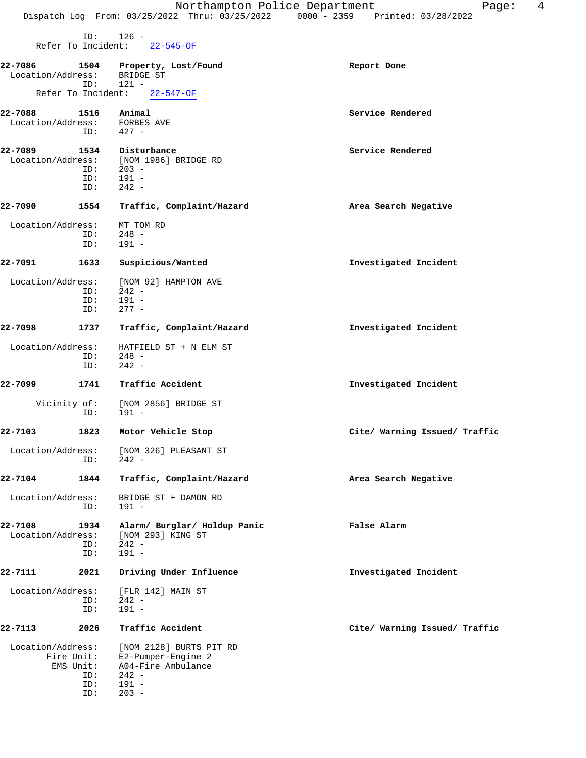| л<br>aqe |  |
|----------|--|
|----------|--|

 ID: 126 - Refer To Incident: 22-545-OF **22-7086 1504 Property, Lost/Found Report Done** Location/Address: BRIDGE ST ID: 121 - Refer To Incident: **22-7088 1516 Animal Service Rendered** Location/Address: FORBES AVE<br>ID: 427 -ID: **22-7089 1534 Disturbance Service Rendered** Location/Address: [NOM 1986] BRIDGE RD ID: 203 - ID: 191 -<br>ID: 242 - ID: 242 - **22-7090 1554 Traffic, Complaint/Hazard Area Search Negative** Location/Address: MT TOM RD ID: 248 - ID: 191 - **22-7091 1633 Suspicious/Wanted Investigated Incident** Location/Address: [NOM 92] HAMPTON AVE <br>ID: 242 -ID: 242 -<br>ID: 191 - ID: 191 - ID: 277 - **22-7098 1737 Traffic, Complaint/Hazard Investigated Incident** Location/Address: HATFIELD ST + N ELM ST<br>ID: 248 - $248 -$  ID: 242 - **22-7099 1741 Traffic Accident Investigated Incident** Vicinity of: [NOM 2856] BRIDGE ST ID: 191 - **22-7103 1823 Motor Vehicle Stop Cite/ Warning Issued/ Traffic** Location/Address: [NOM 326] PLEASANT ST ID: 242 - **22-7104 1844 Traffic, Complaint/Hazard Area Search Negative** Location/Address: BRIDGE ST + DAMON RD ID: 191 - **22-7108 1934 Alarm/ Burglar/ Holdup Panic False Alarm** Location/Address: [NOM 293] KING ST<br>ID: 242 - ID: 242 - ID: 191 - **22-7111 2021 Driving Under Influence Investigated Incident** Location/Address: [FLR 142] MAIN ST ID: 242 - ID: 191 - **22-7113 2026 Traffic Accident Cite/ Warning Issued/ Traffic** Location/Address: [NOM 2128] BURTS PIT RD Fire Unit: E2-Pumper-Engine 2 EMS Unit: A04-Fire Ambulance<br>ID: 242 -

ID: 242 -<br>ID: 191 -ID: 191 -<br>ID: 203 - $203 -$